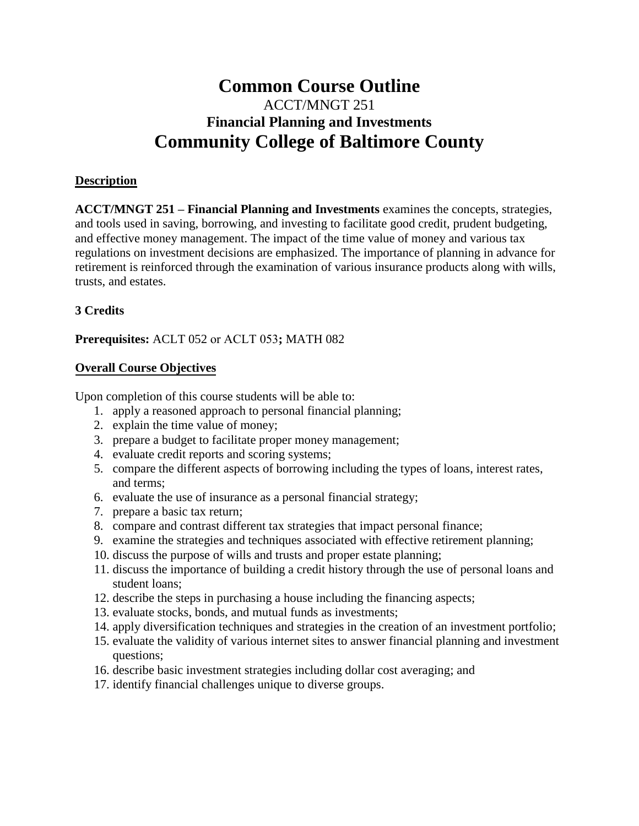# **Common Course Outline**  ACCT/MNGT 251 **Financial Planning and Investments Community College of Baltimore County**

### **Description**

**ACCT/MNGT 251 – Financial Planning and Investments** examines the concepts, strategies, and tools used in saving, borrowing, and investing to facilitate good credit, prudent budgeting, and effective money management. The impact of the time value of money and various tax regulations on investment decisions are emphasized. The importance of planning in advance for retirement is reinforced through the examination of various insurance products along with wills, trusts, and estates.

## **3 Credits**

**Prerequisites:** ACLT 052 or ACLT 053**;** MATH 082

## **Overall Course Objectives**

Upon completion of this course students will be able to:

- 1. apply a reasoned approach to personal financial planning;
- 2. explain the time value of money;
- 3. prepare a budget to facilitate proper money management;
- 4. evaluate credit reports and scoring systems;
- 5. compare the different aspects of borrowing including the types of loans, interest rates, and terms;
- 6. evaluate the use of insurance as a personal financial strategy;
- 7. prepare a basic tax return;
- 8. compare and contrast different tax strategies that impact personal finance;
- 9. examine the strategies and techniques associated with effective retirement planning;
- 10. discuss the purpose of wills and trusts and proper estate planning;
- 11. discuss the importance of building a credit history through the use of personal loans and student loans;
- 12. describe the steps in purchasing a house including the financing aspects;
- 13. evaluate stocks, bonds, and mutual funds as investments;
- 14. apply diversification techniques and strategies in the creation of an investment portfolio;
- 15. evaluate the validity of various internet sites to answer financial planning and investment questions;
- 16. describe basic investment strategies including dollar cost averaging; and
- 17. identify financial challenges unique to diverse groups.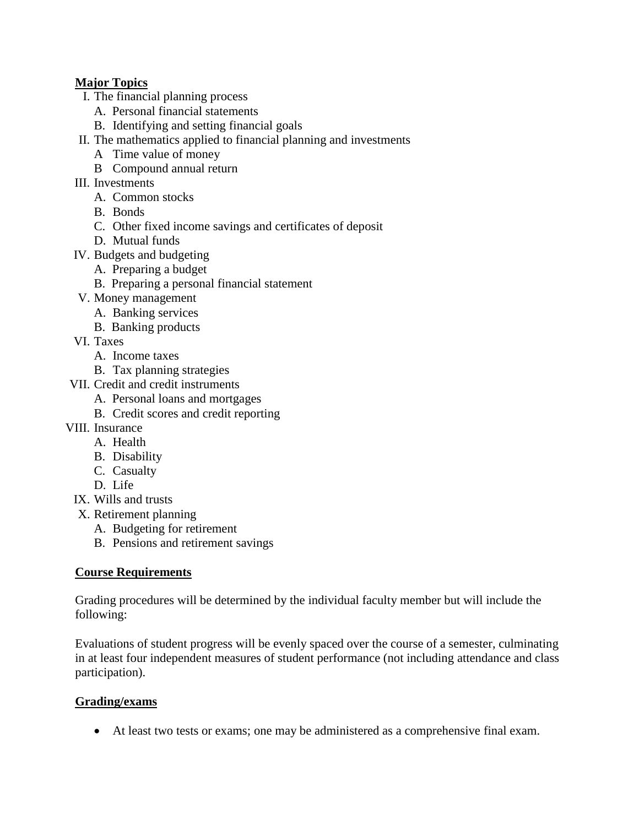## **Major Topics**

- I. The financial planning process
	- A. Personal financial statements
	- B. Identifying and setting financial goals
- II. The mathematics applied to financial planning and investments
	- A Time value of money
	- B Compound annual return
- III. Investments
	- A. Common stocks
	- B. Bonds
	- C. Other fixed income savings and certificates of deposit
	- D. Mutual funds
- IV. Budgets and budgeting
	- A. Preparing a budget
	- B. Preparing a personal financial statement
- V. Money management
	- A. Banking services
	- B. Banking products
- VI. Taxes
	- A. Income taxes
	- B. Tax planning strategies
- VII. Credit and credit instruments
	- A. Personal loans and mortgages
	- B. Credit scores and credit reporting
- VIII. Insurance
	- A. Health
	- B. Disability
	- C. Casualty
	- D. Life
- IX. Wills and trusts
- X. Retirement planning
	- A. Budgeting for retirement
	- B. Pensions and retirement savings

## **Course Requirements**

Grading procedures will be determined by the individual faculty member but will include the following:

Evaluations of student progress will be evenly spaced over the course of a semester, culminating in at least four independent measures of student performance (not including attendance and class participation).

## **Grading/exams**

At least two tests or exams; one may be administered as a comprehensive final exam.